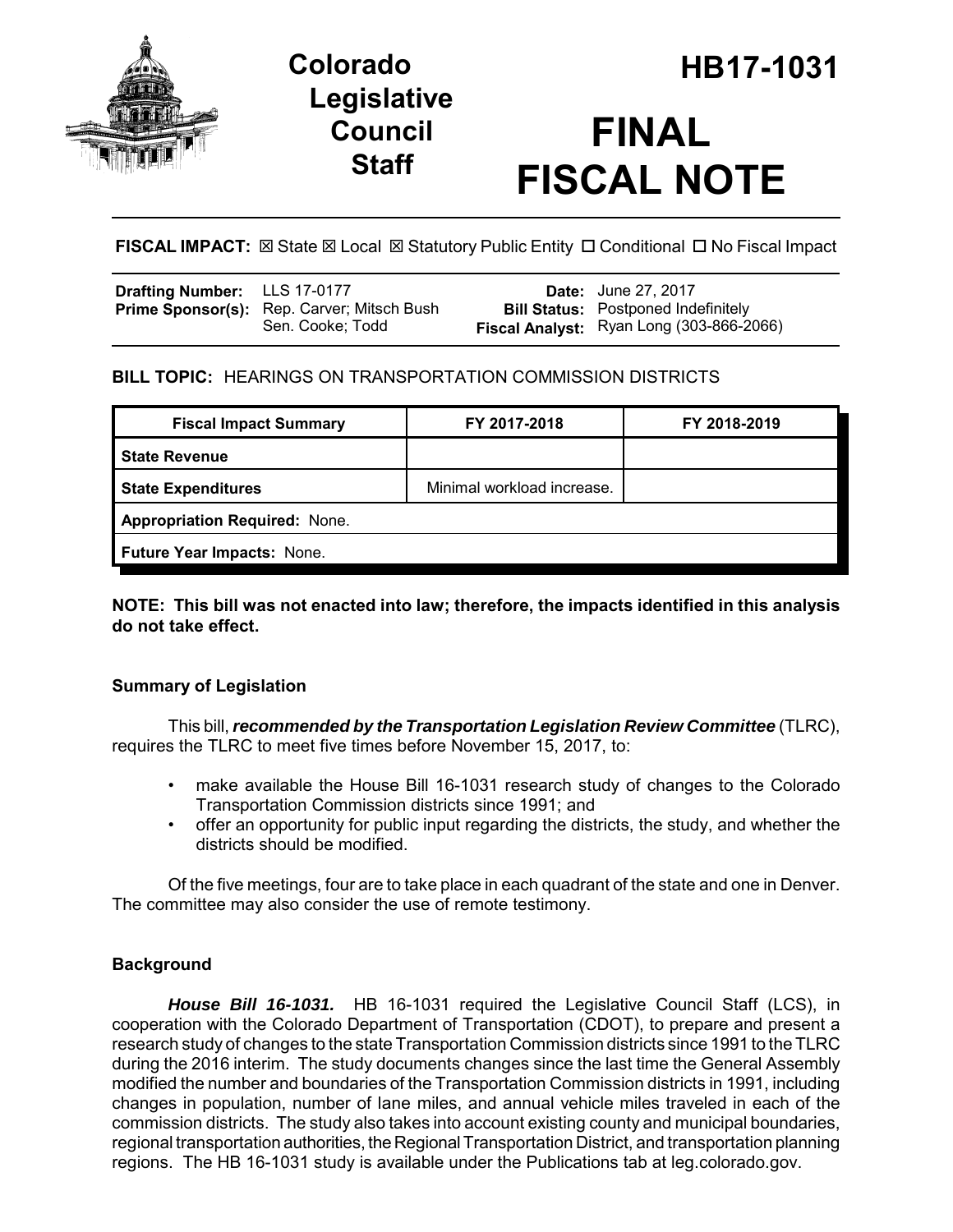

## **Legislative Council Staff**

# **FINAL FISCAL NOTE**

**FISCAL IMPACT:**  $\boxtimes$  State  $\boxtimes$  Local  $\boxtimes$  Statutory Public Entity  $\Box$  Conditional  $\Box$  No Fiscal Impact

| <b>Drafting Number:</b> LLS 17-0177 |                                                                | <b>Date:</b> June 27, 2017                                                             |
|-------------------------------------|----------------------------------------------------------------|----------------------------------------------------------------------------------------|
|                                     | Prime Sponsor(s): Rep. Carver; Mitsch Bush<br>Sen. Cooke: Todd | <b>Bill Status:</b> Postponed Indefinitely<br>Fiscal Analyst: Ryan Long (303-866-2066) |
|                                     |                                                                |                                                                                        |

## **BILL TOPIC:** HEARINGS ON TRANSPORTATION COMMISSION DISTRICTS

| <b>Fiscal Impact Summary</b>         | FY 2017-2018               | FY 2018-2019 |  |  |
|--------------------------------------|----------------------------|--------------|--|--|
| <b>State Revenue</b>                 |                            |              |  |  |
| <b>State Expenditures</b>            | Minimal workload increase. |              |  |  |
| <b>Appropriation Required: None.</b> |                            |              |  |  |
| Future Year Impacts: None.           |                            |              |  |  |

### **NOTE: This bill was not enacted into law; therefore, the impacts identified in this analysis do not take effect.**

## **Summary of Legislation**

This bill, *recommended by the Transportation Legislation Review Committee* (TLRC), requires the TLRC to meet five times before November 15, 2017, to:

- make available the House Bill 16-1031 research study of changes to the Colorado Transportation Commission districts since 1991; and
- offer an opportunity for public input regarding the districts, the study, and whether the districts should be modified.

Of the five meetings, four are to take place in each quadrant of the state and one in Denver. The committee may also consider the use of remote testimony.

## **Background**

*House Bill 16-1031.* HB 16-1031 required the Legislative Council Staff (LCS), in cooperation with the Colorado Department of Transportation (CDOT), to prepare and present a research study of changes to the state Transportation Commission districts since 1991 to the TLRC during the 2016 interim. The study documents changes since the last time the General Assembly modified the number and boundaries of the Transportation Commission districts in 1991, including changes in population, number of lane miles, and annual vehicle miles traveled in each of the commission districts. The study also takes into account existing county and municipal boundaries, regional transportation authorities, the Regional Transportation District, and transportation planning regions. The HB 16-1031 study is available under the Publications tab at leg.colorado.gov.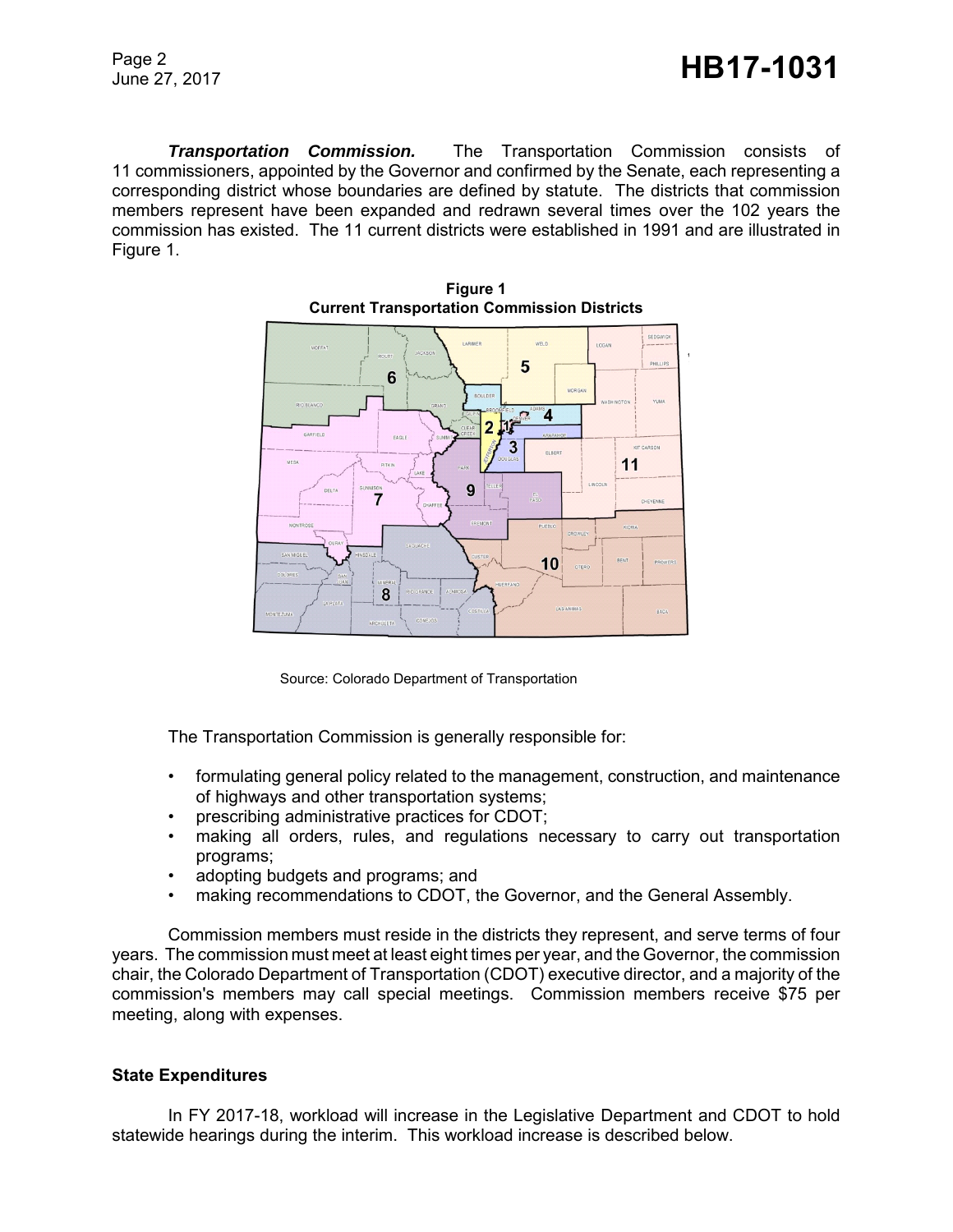*Transportation Commission.* The Transportation Commission consists of 11 commissioners, appointed by the Governor and confirmed by the Senate, each representing a corresponding district whose boundaries are defined by statute. The districts that commission members represent have been expanded and redrawn several times over the 102 years the commission has existed. The 11 current districts were established in 1991 and are illustrated in Figure 1.







The Transportation Commission is generally responsible for:

- formulating general policy related to the management, construction, and maintenance of highways and other transportation systems;
- prescribing administrative practices for CDOT;
- making all orders, rules, and regulations necessary to carry out transportation programs;
- adopting budgets and programs; and
- making recommendations to CDOT, the Governor, and the General Assembly.

Commission members must reside in the districts they represent, and serve terms of four years. The commission must meet at least eight times per year, and the Governor, the commission chair, the Colorado Department of Transportation (CDOT) executive director, and a majority of the commission's members may call special meetings. Commission members receive \$75 per meeting, along with expenses.

#### **State Expenditures**

In FY 2017-18, workload will increase in the Legislative Department and CDOT to hold statewide hearings during the interim. This workload increase is described below.